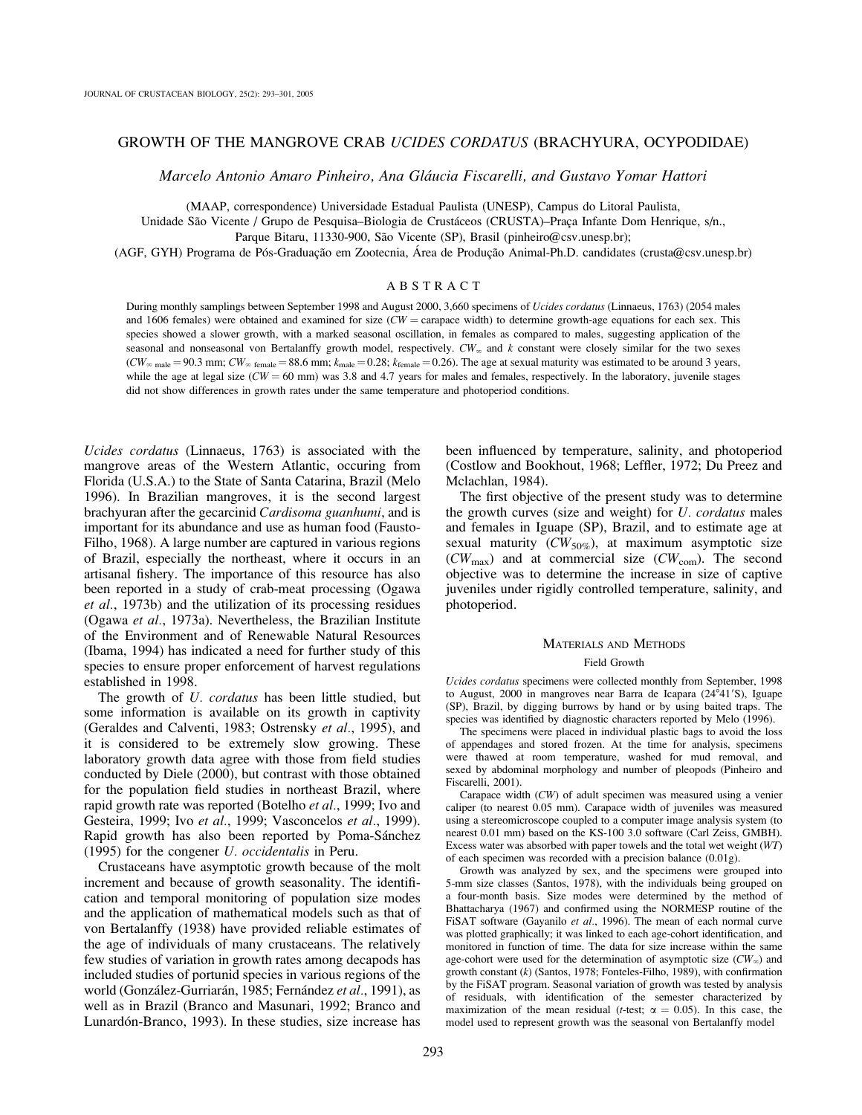## GROWTH OF THE MANGROVE CRAB UCIDES CORDATUS (BRACHYURA, OCYPODIDAE)

Marcelo Antonio Amaro Pinheiro, Ana Gláucia Fiscarelli, and Gustavo Yomar Hattori

(MAAP, correspondence) Universidade Estadual Paulista (UNESP), Campus do Litoral Paulista,

Unidade São Vicente / Grupo de Pesquisa–Biologia de Crustáceos (CRUSTA)–Praça Infante Dom Henrique, s/n.,

Parque Bitaru, 11330-900, São Vicente (SP), Brasil (pinheiro@csv.unesp.br);

(AGF, GYH) Programa de Pós-Graduação em Zootecnia, Área de Produção Animal-Ph.D. candidates (crusta@csv.unesp.br)

# ABSTRACT

During monthly samplings between September 1998 and August 2000, 3,660 specimens of Ucides cordatus (Linnaeus, 1763) (2054 males and 1606 females) were obtained and examined for size  $(CW = \text{carspace width})$  to determine growth-age equations for each sex. This species showed a slower growth, with a marked seasonal oscillation, in females as compared to males, suggesting application of the seasonal and nonseasonal von Bertalanffy growth model, respectively.  $CW_{\infty}$  and k constant were closely similar for the two sexes  $(CW_{\infty})$  male = 90.3 mm;  $CW_{\infty}$  female = 88.6 mm;  $k_{\text{male}} = 0.28$ ;  $k_{\text{female}} = 0.26$ ). The age at sexual maturity was estimated to be around 3 years, while the age at legal size ( $CW = 60$  mm) was 3.8 and 4.7 years for males and females, respectively. In the laboratory, juvenile stages did not show differences in growth rates under the same temperature and photoperiod conditions.

Ucides cordatus (Linnaeus, 1763) is associated with the mangrove areas of the Western Atlantic, occuring from Florida (U.S.A.) to the State of Santa Catarina, Brazil (Melo 1996). In Brazilian mangroves, it is the second largest brachyuran after the gecarcinid Cardisoma guanhumi, and is important for its abundance and use as human food (Fausto-Filho, 1968). A large number are captured in various regions of Brazil, especially the northeast, where it occurs in an artisanal fishery. The importance of this resource has also been reported in a study of crab-meat processing (Ogawa et al., 1973b) and the utilization of its processing residues (Ogawa et al., 1973a). Nevertheless, the Brazilian Institute of the Environment and of Renewable Natural Resources (Ibama, 1994) has indicated a need for further study of this species to ensure proper enforcement of harvest regulations established in 1998.

The growth of U. cordatus has been little studied, but some information is available on its growth in captivity (Geraldes and Calventi, 1983; Ostrensky et al., 1995), and it is considered to be extremely slow growing. These laboratory growth data agree with those from field studies conducted by Diele (2000), but contrast with those obtained for the population field studies in northeast Brazil, where rapid growth rate was reported (Botelho et al., 1999; Ivo and Gesteira, 1999; Ivo et al., 1999; Vasconcelos et al., 1999). Rapid growth has also been reported by Poma-Sánchez (1995) for the congener U. occidentalis in Peru.

Crustaceans have asymptotic growth because of the molt increment and because of growth seasonality. The identification and temporal monitoring of population size modes and the application of mathematical models such as that of von Bertalanffy (1938) have provided reliable estimates of the age of individuals of many crustaceans. The relatively few studies of variation in growth rates among decapods has included studies of portunid species in various regions of the world (González-Gurriarán, 1985; Fernández et al., 1991), as well as in Brazil (Branco and Masunari, 1992; Branco and Lunardón-Branco, 1993). In these studies, size increase has been influenced by temperature, salinity, and photoperiod (Costlow and Bookhout, 1968; Leffler, 1972; Du Preez and Mclachlan, 1984).

The first objective of the present study was to determine the growth curves (size and weight) for  $U$ . *cordatus* males and females in Iguape (SP), Brazil, and to estimate age at sexual maturity  $(CW_{50\%})$ , at maximum asymptotic size  $(CW_{\text{max}})$  and at commercial size  $(CW_{\text{com}})$ . The second objective was to determine the increase in size of captive juveniles under rigidly controlled temperature, salinity, and photoperiod.

## MATERIALS AND METHODS

## Field Growth

Ucides cordatus specimens were collected monthly from September, 1998 to August, 2000 in mangroves near Barra de Icapara ( $24^{\circ}41'S$ ), Iguape (SP), Brazil, by digging burrows by hand or by using baited traps. The species was identified by diagnostic characters reported by Melo (1996).

The specimens were placed in individual plastic bags to avoid the loss of appendages and stored frozen. At the time for analysis, specimens were thawed at room temperature, washed for mud removal, and sexed by abdominal morphology and number of pleopods (Pinheiro and Fiscarelli, 2001).

Carapace width (CW) of adult specimen was measured using a venier caliper (to nearest 0.05 mm). Carapace width of juveniles was measured using a stereomicroscope coupled to a computer image analysis system (to nearest 0.01 mm) based on the KS-100 3.0 software (Carl Zeiss, GMBH). Excess water was absorbed with paper towels and the total wet weight (WT) of each specimen was recorded with a precision balance (0.01g).

Growth was analyzed by sex, and the specimens were grouped into 5-mm size classes (Santos, 1978), with the individuals being grouped on a four-month basis. Size modes were determined by the method of Bhattacharya (1967) and confirmed using the NORMESP routine of the FiSAT software (Gayanilo et al., 1996). The mean of each normal curve was plotted graphically; it was linked to each age-cohort identification, and monitored in function of time. The data for size increase within the same age-cohort were used for the determination of asymptotic size  $(CW_{\infty})$  and growth constant (k) (Santos, 1978; Fonteles-Filho, 1989), with confirmation by the FiSAT program. Seasonal variation of growth was tested by analysis of residuals, with identification of the semester characterized by maximization of the mean residual (*t*-test;  $\alpha = 0.05$ ). In this case, the model used to represent growth was the seasonal von Bertalanffy model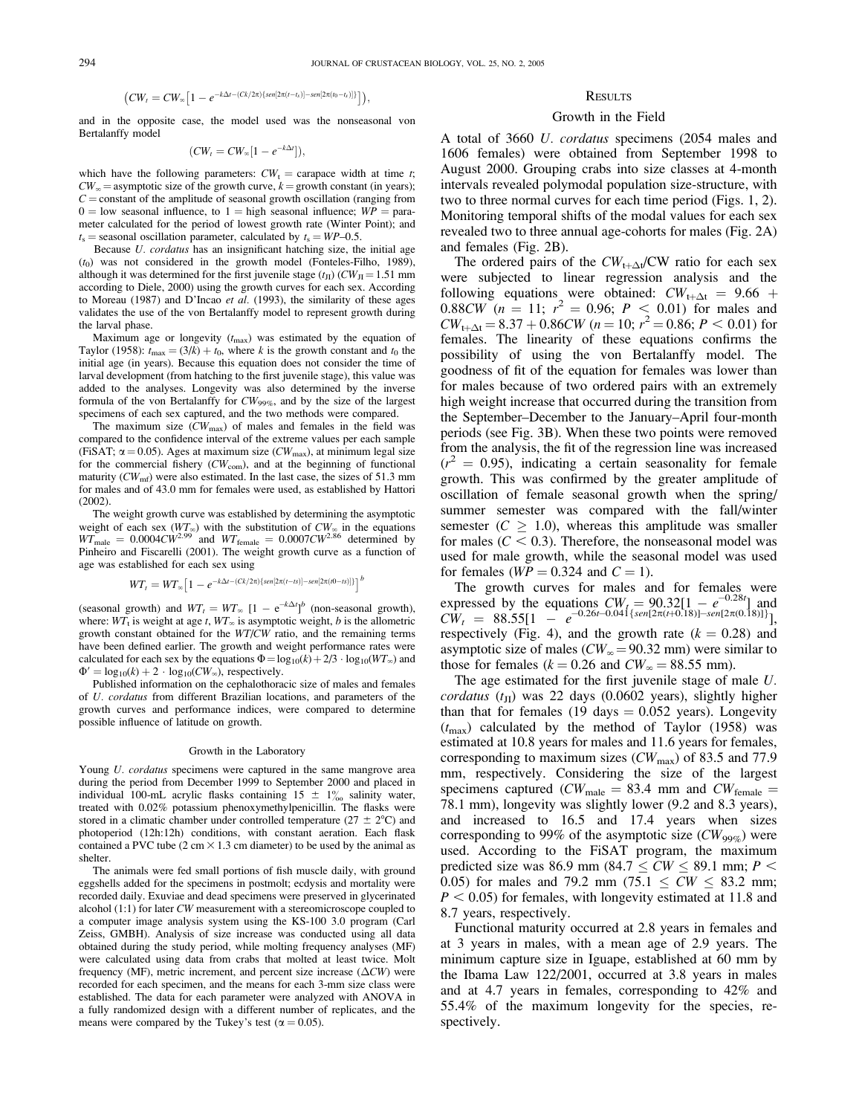$$
(CW_t = CW_{\infty} \left[ 1 - e^{-k\Delta t - (Ck/2\pi)\{sen[2\pi(t-t_s)] - sen[2\pi(t_0-t_s)]\}} \right]),
$$

and in the opposite case, the model used was the nonseasonal von Bertalanffy model

$$
(CW_t = CW_{\infty}[1 - e^{-k\Delta t}]),
$$

which have the following parameters:  $CW_t =$  carapace width at time t;  $CW_{\infty}$  = asymptotic size of the growth curve,  $k =$  growth constant (in years);  $C =$  constant of the amplitude of seasonal growth oscillation (ranging from  $0 =$ low seasonal influence, to  $1 =$ high seasonal influence;  $WP =$  parameter calculated for the period of lowest growth rate (Winter Point); and  $t<sub>s</sub>$  = seasonal oscillation parameter, calculated by  $t<sub>s</sub>$  = WP–0.5.

Because U. cordatus has an insignificant hatching size, the initial age  $(t<sub>0</sub>)$  was not considered in the growth model (Fonteles-Filho, 1989), although it was determined for the first juvenile stage  $(t_{\text{II}})$  (CW<sub>II</sub> = 1.51 mm according to Diele, 2000) using the growth curves for each sex. According to Moreau (1987) and D'Incao et al. (1993), the similarity of these ages validates the use of the von Bertalanffy model to represent growth during the larval phase.

Maximum age or longevity  $(t_{\text{max}})$  was estimated by the equation of Taylor (1958):  $t_{\text{max}} = (3/k) + t_0$ , where k is the growth constant and  $t_0$  the initial age (in years). Because this equation does not consider the time of larval development (from hatching to the first juvenile stage), this value was added to the analyses. Longevity was also determined by the inverse formula of the von Bertalanffy for  $CW_{99\%}$ , and by the size of the largest specimens of each sex captured, and the two methods were compared.

The maximum size  $(CW_{\text{max}})$  of males and females in the field was compared to the confidence interval of the extreme values per each sample (FiSAT;  $\alpha$  = 0.05). Ages at maximum size (CW<sub>max</sub>), at minimum legal size for the commercial fishery  $(CW_{\text{com}})$ , and at the beginning of functional maturity  $(CW<sub>mf</sub>)$  were also estimated. In the last case, the sizes of 51.3 mm for males and of 43.0 mm for females were used, as established by Hattori (2002).

The weight growth curve was established by determining the asymptotic weight of each sex  $(WT_{\infty})$  with the substitution of  $CW_{\infty}$  in the equations  $WT_{\text{male}} = 0.0004CW^{2.99}$  and  $WT_{\text{female}} = 0.0007CW^{2.86}$  determined by Pinheiro and Fiscarelli (2001). The weight growth curve as a function of age was established for each sex using

$$
WT_{t} = WT_{\infty} \left[ 1 - e^{-k\Delta t - (Ck/2\pi)\{sen[2\pi(t-ts)] - sen[2\pi(t0-ts)]\}} \right]^{b}
$$

(seasonal growth) and  $WT_t = WT_{\infty}$  [1 – e<sup>-k $\Delta t$ </sup>]<sup>b</sup> (non-seasonal growth), where:  $WT_t$  is weight at age t,  $WT_{\infty}$  is asymptotic weight, b is the allometric growth constant obtained for the WT/CW ratio, and the remaining terms have been defined earlier. The growth and weight performance rates were calculated for each sex by the equations  $\Phi = \log_{10}(k) + 2/3 \cdot \log_{10}(WT_{\infty})$  and  $\Phi' = \log_{10}(k) + 2 \cdot \log_{10}(CW_{\infty})$ , respectively.

Published information on the cephalothoracic size of males and females of U. cordatus from different Brazilian locations, and parameters of the growth curves and performance indices, were compared to determine possible influence of latitude on growth.

#### Growth in the Laboratory

Young *U. cordatus* specimens were captured in the same mangrove area during the period from December 1999 to September 2000 and placed in individual 100-mL acrylic flasks containing  $15 \pm 1\%$  salinity water, treated with 0.02% potassium phenoxymethylpenicillin. The flasks were stored in a climatic chamber under controlled temperature ( $27 \pm 2^{\circ}$ C) and photoperiod (12h:12h) conditions, with constant aeration. Each flask contained a PVC tube  $(2 \text{ cm} \times 1.3 \text{ cm} \text{ diameter})$  to be used by the animal as shelter.

The animals were fed small portions of fish muscle daily, with ground eggshells added for the specimens in postmolt; ecdysis and mortality were recorded daily. Exuviae and dead specimens were preserved in glycerinated alcohol (1:1) for later CW measurement with a stereomicroscope coupled to a computer image analysis system using the KS-100 3.0 program (Carl Zeiss, GMBH). Analysis of size increase was conducted using all data obtained during the study period, while molting frequency analyses (MF) were calculated using data from crabs that molted at least twice. Molt frequency (MF), metric increment, and percent size increase  $(\Delta CW)$  were recorded for each specimen, and the means for each 3-mm size class were established. The data for each parameter were analyzed with ANOVA in a fully randomized design with a different number of replicates, and the means were compared by the Tukey's test ( $\alpha$  = 0.05).

#### **RESULTS**

## Growth in the Field

A total of 3660 U. cordatus specimens (2054 males and 1606 females) were obtained from September 1998 to August 2000. Grouping crabs into size classes at 4-month intervals revealed polymodal population size-structure, with two to three normal curves for each time period (Figs. 1, 2). Monitoring temporal shifts of the modal values for each sex revealed two to three annual age-cohorts for males (Fig. 2A) and females (Fig. 2B).

The ordered pairs of the  $CW_{t+\Delta t}/CW$  ratio for each sex were subjected to linear regression analysis and the following equations were obtained:  $CW_{t+\Delta t} = 9.66 +$  $0.88CW$  ( $n = 11$ ;  $r^2 = 0.96$ ;  $P < 0.01$ ) for males and  $CW_{t+\Delta t} = 8.37 + 0.86CW$  (*n* = 10;  $r^2 = 0.86$ ; *P* < 0.01) for females. The linearity of these equations confirms the possibility of using the von Bertalanffy model. The goodness of fit of the equation for females was lower than for males because of two ordered pairs with an extremely high weight increase that occurred during the transition from the September–December to the January–April four-month periods (see Fig. 3B). When these two points were removed from the analysis, the fit of the regression line was increased  $(r^2 = 0.95)$ , indicating a certain seasonality for female growth. This was confirmed by the greater amplitude of oscillation of female seasonal growth when the spring/ summer semester was compared with the fall/winter semester  $(C \geq 1.0)$ , whereas this amplitude was smaller for males ( $C < 0.3$ ). Therefore, the nonseasonal model was used for male growth, while the seasonal model was used for females ( $WP = 0.324$  and  $C = 1$ ).

The growth curves for males and for females were expressed by the equations  $CW_t = 90.32[1 - e^{-0.28t}]$  and  $CW_t = 88.55[1 - e^{-0.26t - 0.04\frac{1}{2}\{sen[2\pi(t+0.18)] - sen[2\pi(0.18)]\}}],$ respectively (Fig. 4), and the growth rate  $(k = 0.28)$  and asymptotic size of males ( $CW_\infty = 90.32$  mm) were similar to those for females ( $k = 0.26$  and  $CW_{\infty} = 88.55$  mm).

The age estimated for the first juvenile stage of male U.  $cordatus$  ( $t_{JI}$ ) was 22 days (0.0602 years), slightly higher than that for females (19 days  $= 0.052$  years). Longevity  $(t_{\text{max}})$  calculated by the method of Taylor (1958) was estimated at 10.8 years for males and 11.6 years for females, corresponding to maximum sizes  $(CW_{\text{max}})$  of 83.5 and 77.9 mm, respectively. Considering the size of the largest specimens captured ( $CW_{\text{male}} = 83.4 \text{ mm}$  and  $CW_{\text{female}} =$ 78.1 mm), longevity was slightly lower (9.2 and 8.3 years), and increased to 16.5 and 17.4 years when sizes corresponding to 99% of the asymptotic size  $(CW_{99\%})$  were used. According to the FiSAT program, the maximum predicted size was 86.9 mm (84.7  $\leq$  CW  $\leq$  89.1 mm; P  $\leq$ 0.05) for males and 79.2 mm (75.1  $\leq$  CW  $\leq$  83.2 mm;  $P < 0.05$ ) for females, with longevity estimated at 11.8 and 8.7 years, respectively.

Functional maturity occurred at 2.8 years in females and at 3 years in males, with a mean age of 2.9 years. The minimum capture size in Iguape, established at 60 mm by the Ibama Law 122/2001, occurred at 3.8 years in males and at 4.7 years in females, corresponding to 42% and 55.4% of the maximum longevity for the species, respectively.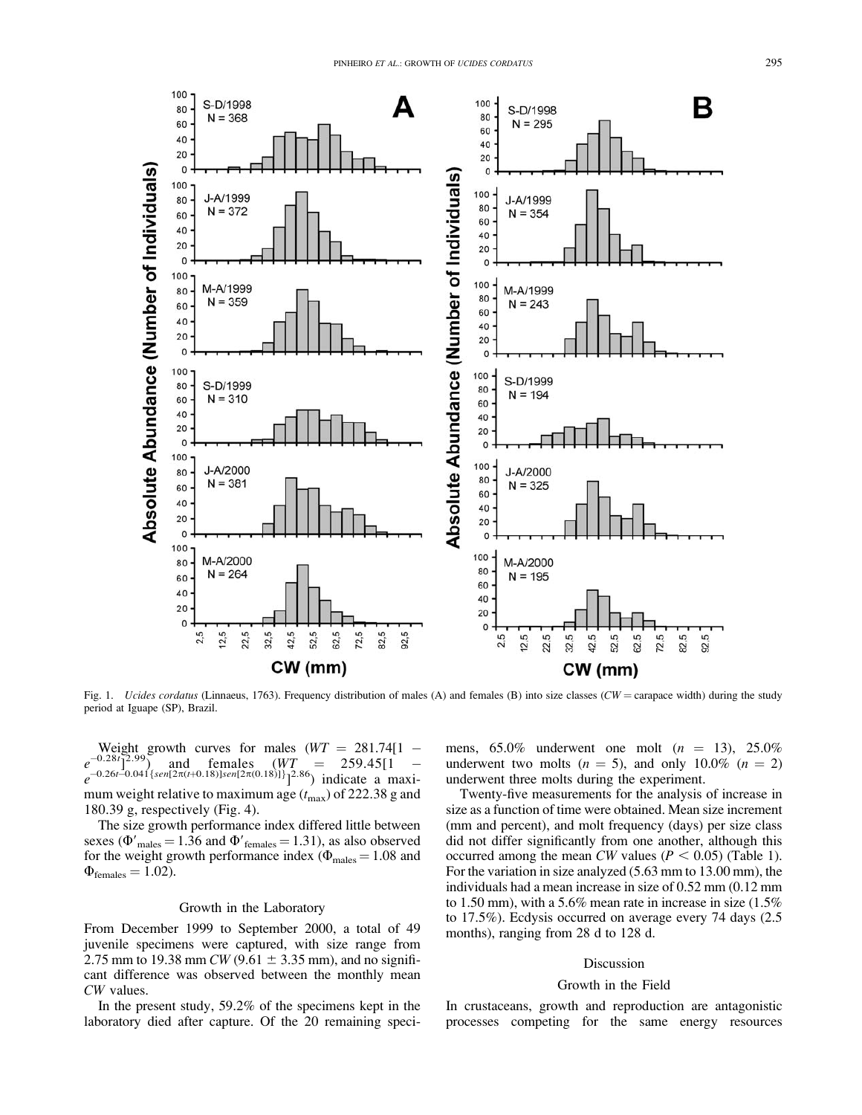

Fig. 1. *Ucides cordatus* (Linnaeus, 1763). Frequency distribution of males (A) and females (B) into size classes (CW = carapace width) during the study period at Iguape (SP), Brazil.

Weight growth curves for males  $(WT = 281.74[1 - \frac{0.28t}{2.99})$  and females  $(WT = 259.45[1 - \frac{0.28t}{2.99})$  $e^{-0.28t}]$ <sup>2.99</sup>) and females  $(WT) = 259.45[1$  $e^{-0.26t-0.04\int \{sen[2\pi(t+0.18)]sen[2\pi(0.18)]\}}$ <sup>2.86</sup>) indicate a maximum weight relative to maximum age  $(t_{\text{max}})$  of 222.38 g and 180.39 g, respectively (Fig. 4).

The size growth performance index differed little between sexes ( $\Phi'_{\text{males}} = 1.36$  and  $\Phi'_{\text{females}} = 1.31$ ), as also observed for the weight growth performance index ( $\Phi_{\text{males}} = 1.08$  and  $\Phi_{\text{females}} = 1.02$ ).

## Growth in the Laboratory

From December 1999 to September 2000, a total of 49 juvenile specimens were captured, with size range from 2.75 mm to 19.38 mm *CW* (9.61  $\pm$  3.35 mm), and no significant difference was observed between the monthly mean CW values.

In the present study, 59.2% of the specimens kept in the laboratory died after capture. Of the 20 remaining specimens,  $65.0\%$  underwent one molt  $(n = 13)$ ,  $25.0\%$ underwent two molts  $(n = 5)$ , and only 10.0%  $(n = 2)$ underwent three molts during the experiment.

Twenty-five measurements for the analysis of increase in size as a function of time were obtained. Mean size increment (mm and percent), and molt frequency (days) per size class did not differ significantly from one another, although this occurred among the mean CW values ( $P < 0.05$ ) (Table 1). For the variation in size analyzed (5.63 mm to 13.00 mm), the individuals had a mean increase in size of 0.52 mm (0.12 mm to 1.50 mm), with a 5.6% mean rate in increase in size (1.5% to 17.5%). Ecdysis occurred on average every 74 days (2.5 months), ranging from 28 d to 128 d.

## Discussion

### Growth in the Field

In crustaceans, growth and reproduction are antagonistic processes competing for the same energy resources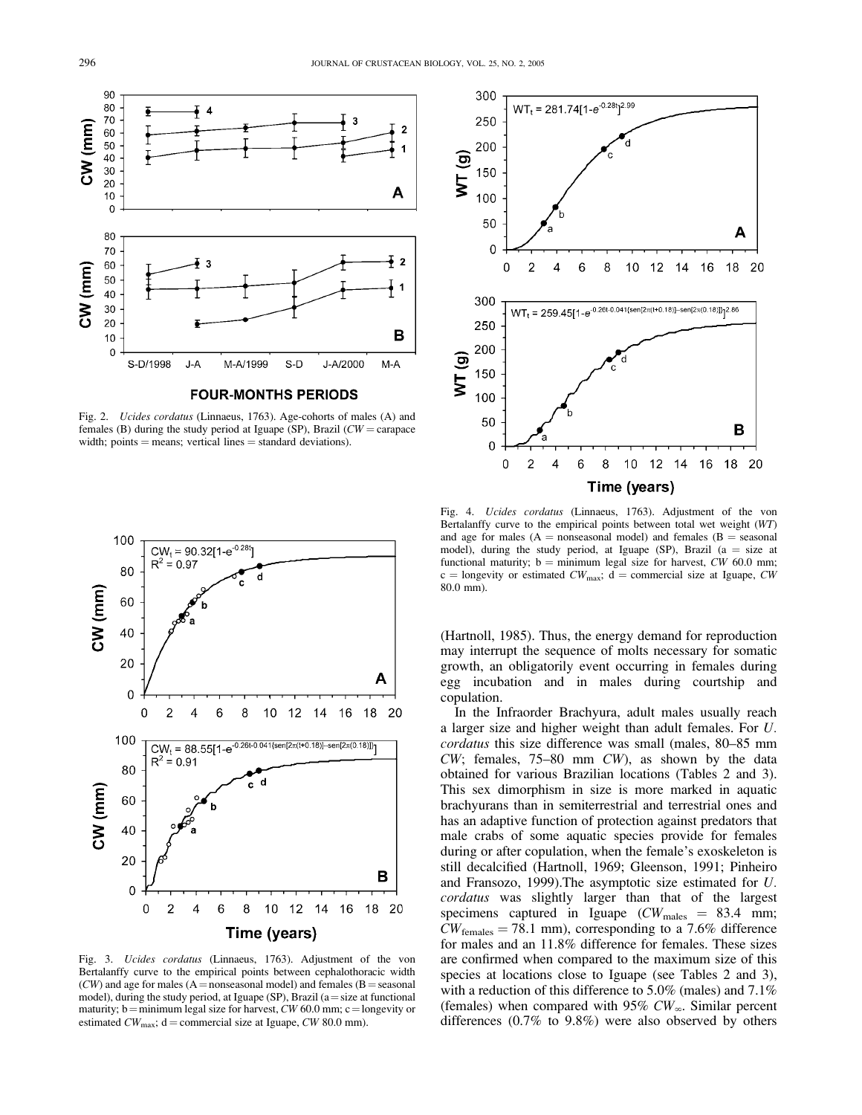

Fig. 2. Ucides cordatus (Linnaeus, 1763). Age-cohorts of males (A) and females (B) during the study period at Iguape (SP), Brazil ( $CW =$  carapace width; points  $=$  means; vertical lines  $=$  standard deviations).



Fig. 3. Ucides cordatus (Linnaeus, 1763). Adjustment of the von Bertalanffy curve to the empirical points between cephalothoracic width  $(CW)$  and age for males (A = nonseasonal model) and females (B = seasonal model), during the study period, at Iguape (SP), Brazil (a = size at functional maturity; b = minimum legal size for harvest,  $CW$  60.0 mm; c = longevity or estimated  $CW_{\text{max}}$ ; d = commercial size at Iguape,  $CW$  80.0 mm).



Fig. 4. Ucides cordatus (Linnaeus, 1763). Adjustment of the von Bertalanffy curve to the empirical points between total wet weight (WT) and age for males ( $A =$  nonseasonal model) and females ( $B =$  seasonal model), during the study period, at Iguape (SP), Brazil ( $a = size$  at functional maturity;  $b =$  minimum legal size for harvest, CW 60.0 mm; c = longevity or estimated  $CW_{\text{max}}$ ; d = commercial size at Iguape, CW 80.0 mm).

(Hartnoll, 1985). Thus, the energy demand for reproduction may interrupt the sequence of molts necessary for somatic growth, an obligatorily event occurring in females during egg incubation and in males during courtship and copulation.

In the Infraorder Brachyura, adult males usually reach a larger size and higher weight than adult females. For U. cordatus this size difference was small (males, 80–85 mm CW; females, 75–80 mm CW), as shown by the data obtained for various Brazilian locations (Tables 2 and 3). This sex dimorphism in size is more marked in aquatic brachyurans than in semiterrestrial and terrestrial ones and has an adaptive function of protection against predators that male crabs of some aquatic species provide for females during or after copulation, when the female's exoskeleton is still decalcified (Hartnoll, 1969; Gleenson, 1991; Pinheiro and Fransozo, 1999).The asymptotic size estimated for U. cordatus was slightly larger than that of the largest specimens captured in Iguape ( $CW_{\text{males}} = 83.4 \text{ mm}$ ;  $CW_{\text{females}} = 78.1 \text{ mm}$ , corresponding to a 7.6% difference for males and an 11.8% difference for females. These sizes are confirmed when compared to the maximum size of this species at locations close to Iguape (see Tables 2 and 3), with a reduction of this difference to 5.0% (males) and 7.1% (females) when compared with 95%  $CW_{\infty}$ . Similar percent differences (0.7% to 9.8%) were also observed by others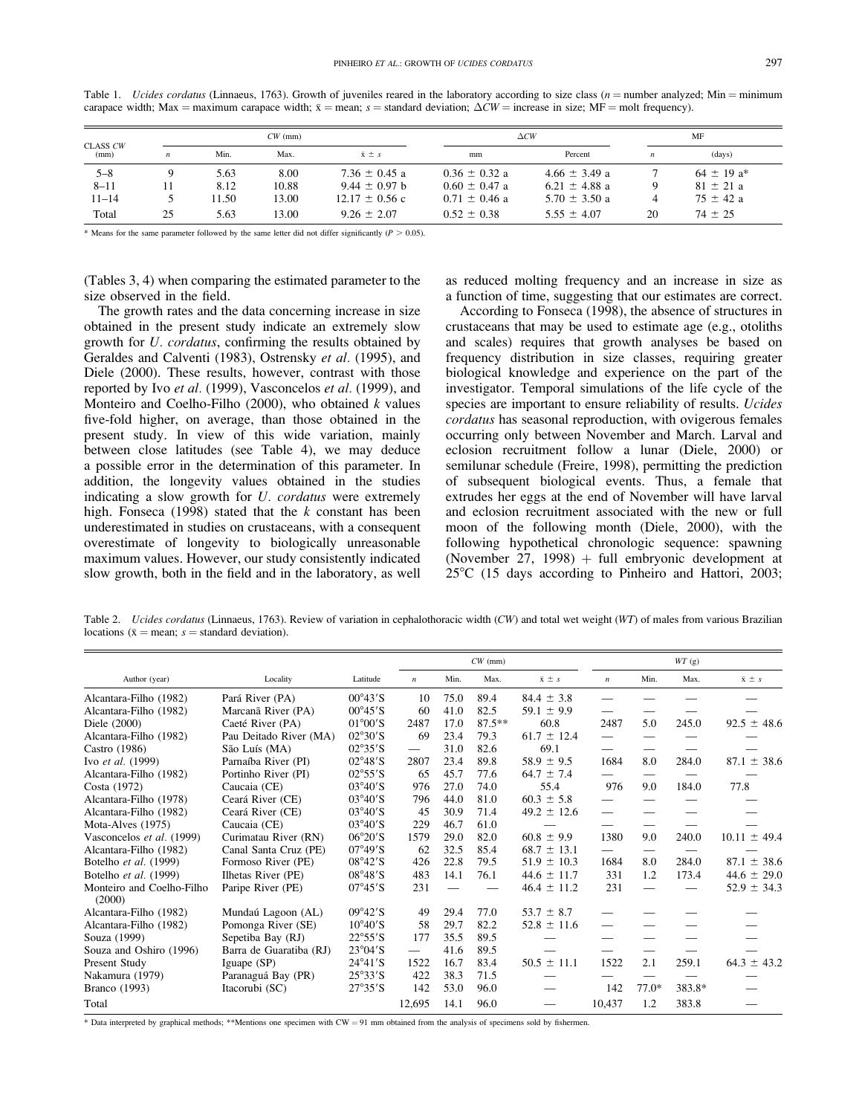| CLASS CW<br>(mm) |    |       | $CW$ (mm) |                    | $\triangle CW$    |                   | MF |                            |  |
|------------------|----|-------|-----------|--------------------|-------------------|-------------------|----|----------------------------|--|
|                  | n  | Min.  | Max.      | $\bar{x} \pm s$    | mm                | Percent           | n  | (days)                     |  |
| $5 - 8$          |    | 5.63  | 8.00      | $7.36 \pm 0.45$ a  | $0.36 \pm 0.32$ a | $4.66 \pm 3.49$ a |    | $64 \pm 19$ a <sup>*</sup> |  |
| $8 - 11$         |    | 8.12  | 10.88     | $9.44 \pm 0.97$ b  | $0.60 \pm 0.47$ a | 6.21 $\pm$ 4.88 a |    | $81 \pm 21 a$              |  |
| $11 - 14$        |    | 11.50 | 13.00     | $12.17 \pm 0.56$ c | $0.71 \pm 0.46$ a | $5.70 \pm 3.50$ a |    | $75 \pm 42$ a              |  |
| Total            | 25 | 5.63  | 13.00     | $9.26 + 2.07$      | $0.52 \pm 0.38$   | $5.55 \pm 4.07$   | 20 | $74 \pm 25$                |  |

Table 1. *Ucides cordatus* (Linnaeus, 1763). Growth of juveniles reared in the laboratory according to size class ( $n =$ number analyzed; Min = minimum carapace width; Max = maximum carapace width;  $\bar{x}$  = mean; s = standard deviation;  $\Delta CW$  = increase in size; MF = molt frequency).

\* Means for the same parameter followed by the same letter did not differ significantly ( $P > 0.05$ ).

(Tables 3, 4) when comparing the estimated parameter to the size observed in the field.

The growth rates and the data concerning increase in size obtained in the present study indicate an extremely slow growth for U. cordatus, confirming the results obtained by Geraldes and Calventi (1983), Ostrensky et al. (1995), and Diele (2000). These results, however, contrast with those reported by Ivo et al. (1999), Vasconcelos et al. (1999), and Monteiro and Coelho-Filho (2000), who obtained  $k$  values five-fold higher, on average, than those obtained in the present study. In view of this wide variation, mainly between close latitudes (see Table 4), we may deduce a possible error in the determination of this parameter. In addition, the longevity values obtained in the studies indicating a slow growth for U. cordatus were extremely high. Fonseca (1998) stated that the  $k$  constant has been underestimated in studies on crustaceans, with a consequent overestimate of longevity to biologically unreasonable maximum values. However, our study consistently indicated slow growth, both in the field and in the laboratory, as well as reduced molting frequency and an increase in size as a function of time, suggesting that our estimates are correct.

According to Fonseca (1998), the absence of structures in crustaceans that may be used to estimate age (e.g., otoliths and scales) requires that growth analyses be based on frequency distribution in size classes, requiring greater biological knowledge and experience on the part of the investigator. Temporal simulations of the life cycle of the species are important to ensure reliability of results. Ucides cordatus has seasonal reproduction, with ovigerous females occurring only between November and March. Larval and eclosion recruitment follow a lunar (Diele, 2000) or semilunar schedule (Freire, 1998), permitting the prediction of subsequent biological events. Thus, a female that extrudes her eggs at the end of November will have larval and eclosion recruitment associated with the new or full moon of the following month (Diele, 2000), with the following hypothetical chronologic sequence: spawning (November 27, 1998) + full embryonic development at  $25^{\circ}$ C (15 days according to Pinheiro and Hattori, 2003;

Table 2. Ucides cordatus (Linnaeus, 1763). Review of variation in cephalothoracic width (CW) and total wet weight (WT) of males from various Brazilian locations ( $\bar{x}$  = mean;  $s$  = standard deviation).

|                                     |                         |                           |                  |      | $CW$ (mm) |                 | WT(g)            |                          |        |                  |  |
|-------------------------------------|-------------------------|---------------------------|------------------|------|-----------|-----------------|------------------|--------------------------|--------|------------------|--|
| Author (year)                       | Locality                | Latitude                  | $\boldsymbol{n}$ | Min. | Max.      | $\bar{x} \pm s$ | $\boldsymbol{n}$ | Min.                     | Max.   | $\bar{x} \pm s$  |  |
| Alcantara-Filho (1982)              | Pará River (PA)         | $00^{\circ}43'$ S         | 10               | 75.0 | 89.4      | $84.4 \pm 3.8$  |                  |                          |        |                  |  |
| Alcantara-Filho (1982)              | Marcanã River (PA)      | $00^{\circ}45'$ S         | 60               | 41.0 | 82.5      | $59.1 \pm 9.9$  |                  |                          |        |                  |  |
| Diele (2000)                        | Caeté River (PA)        | $01^{\circ}00^{\prime}$ S | 2487             | 17.0 | $87.5***$ | 60.8            | 2487             | 5.0                      | 245.0  | $92.5 \pm 48.6$  |  |
| Alcantara-Filho (1982)              | Pau Deitado River (MA)  | $02^{\circ}30^{\prime}S$  | 69               | 23.4 | 79.3      | $61.7 \pm 12.4$ |                  |                          |        |                  |  |
| Castro (1986)                       | São Luís (MA)           | $02^{\circ}35^{\prime}S$  | $\qquad \qquad$  | 31.0 | 82.6      | 69.1            |                  |                          |        |                  |  |
| Ivo et al. (1999)                   | Parnaíba River (PI)     | $02^{\circ}48'$ S         | 2807             | 23.4 | 89.8      | $58.9 \pm 9.5$  | 1684             | 8.0                      | 284.0  | $87.1 \pm 38.6$  |  |
| Alcantara-Filho (1982)              | Portinho River (PI)     | $02^{\circ}55'$ S         | 65               | 45.7 | 77.6      | $64.7 \pm 7.4$  |                  |                          |        |                  |  |
| Costa (1972)                        | Caucaia (CE)            | $03^{\circ}40'$ S         | 976              | 27.0 | 74.0      | 55.4            | 976              | 9.0                      | 184.0  | 77.8             |  |
| Alcantara-Filho (1978)              | Ceará River (CE)        | $03^{\circ}40'$ S         | 796              | 44.0 | 81.0      | $60.3 \pm 5.8$  |                  |                          |        |                  |  |
| Alcantara-Filho (1982)              | Ceará River (CE)        | $03^{\circ}40^{\prime}S$  | 45               | 30.9 | 71.4      | $49.2 \pm 12.6$ |                  |                          |        |                  |  |
| Mota-Alves (1975)                   | Caucaia (CE)            | $03^{\circ}40^{\prime}S$  | 229              | 46.7 | 61.0      |                 |                  |                          |        |                  |  |
| Vasconcelos et al. (1999)           | Curimatau River (RN)    | $06^{\circ}20'$ S         | 1579             | 29.0 | 82.0      | $60.8 \pm 9.9$  | 1380             | 9.0                      | 240.0  | $10.11 \pm 49.4$ |  |
| Alcantara-Filho (1982)              | Canal Santa Cruz (PE)   | $07^{\circ}49'$ S         | 62               | 32.5 | 85.4      | $68.7 \pm 13.1$ |                  |                          |        |                  |  |
| Botelho et al. (1999)               | Formoso River (PE)      | $08^{\circ}42'$ S         | 426              | 22.8 | 79.5      | $51.9 \pm 10.3$ | 1684             | 8.0                      | 284.0  | $87.1 \pm 38.6$  |  |
| Botelho et al. (1999)               | Ilhetas River (PE)      | $08^{\circ}48'$ S         | 483              | 14.1 | 76.1      | $44.6 \pm 11.7$ | 331              | 1.2                      | 173.4  | $44.6 \pm 29.0$  |  |
| Monteiro and Coelho-Filho<br>(2000) | Paripe River (PE)       | $07^{\circ}45'$ S         | 231              |      |           | $46.4 \pm 11.2$ | 231              | $\overline{\phantom{0}}$ |        | $52.9 \pm 34.3$  |  |
| Alcantara-Filho (1982)              | Mundaú Lagoon (AL)      | $09^{\circ}42'$ S         | 49               | 29.4 | 77.0      | $53.7 \pm 8.7$  |                  |                          |        |                  |  |
| Alcantara-Filho (1982)              | Pomonga River (SE)      | $10^{\circ}40'$ S         | 58               | 29.7 | 82.2      | $52.8 \pm 11.6$ |                  |                          |        |                  |  |
| Souza (1999)                        | Sepetiba Bay (RJ)       | $22^{\circ}55'$ S         | 177              | 35.5 | 89.5      |                 |                  |                          |        |                  |  |
| Souza and Oshiro (1996)             | Barra de Guaratiba (RJ) | $23^{\circ}04^{\prime}S$  |                  | 41.6 | 89.5      |                 |                  |                          |        |                  |  |
| Present Study                       | Iguape (SP)             | $24^{\circ}41'$ S         | 1522             | 16.7 | 83.4      | $50.5 \pm 11.1$ | 1522             | 2.1                      | 259.1  | $64.3 \pm 43.2$  |  |
| Nakamura (1979)                     | Paranaguá Bay (PR)      | $25^{\circ}33^{\prime}S$  | 422              | 38.3 | 71.5      |                 |                  |                          |        |                  |  |
| <b>Branco</b> (1993)                | Itacorubi (SC)          | $27^{\circ}35'$ S         | 142              | 53.0 | 96.0      |                 | 142              | $77.0*$                  | 383.8* |                  |  |
| Total                               |                         |                           | 12,695           | 14.1 | 96.0      |                 | 10,437           | 1.2                      | 383.8  |                  |  |

\* Data interpreted by graphical methods; \*\*Mentions one specimen with  $CW = 91$  mm obtained from the analysis of specimens sold by fishermen.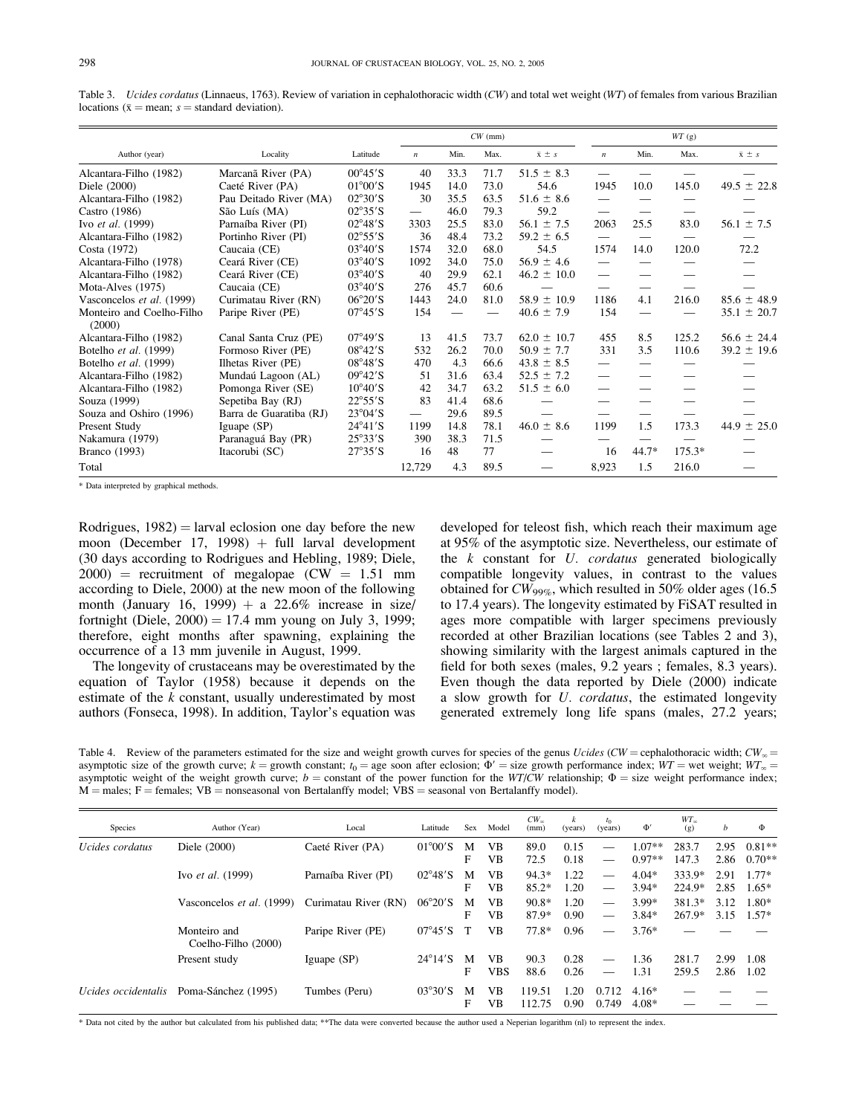Table 3. Ucides cordatus (Linnaeus, 1763). Review of variation in cephalothoracic width (CW) and total wet weight (WT) of females from various Brazilian locations ( $\bar{x}$  = mean;  $s$  = standard deviation).

|                                     |                         |                           |                          |                          | $CW$ (mm) |                 | WT(g)                    |         |          |                 |  |
|-------------------------------------|-------------------------|---------------------------|--------------------------|--------------------------|-----------|-----------------|--------------------------|---------|----------|-----------------|--|
| Author (year)                       | Locality                | Latitude                  | $\boldsymbol{n}$         | Min.                     | Max.      | $\bar{x} \pm s$ | $\boldsymbol{n}$         | Min.    | Max.     | $\bar{x} \pm s$ |  |
| Alcantara-Filho (1982)              | Marcanã River (PA)      | $00^{\circ}45'$ S         | 40                       | 33.3                     | 71.7      | $51.5 \pm 8.3$  |                          |         |          |                 |  |
| Diele (2000)                        | Caeté River (PA)        | $01^{\circ}00^{\prime}$ S | 1945                     | 14.0                     | 73.0      | 54.6            | 1945                     | 10.0    | 145.0    | $49.5 \pm 22.8$ |  |
| Alcantara-Filho (1982)              | Pau Deitado River (MA)  | $02^{\circ}30^{\prime}S$  | 30                       | 35.5                     | 63.5      | $51.6 \pm 8.6$  | $\overline{\phantom{0}}$ |         |          |                 |  |
| Castro (1986)                       | São Luís (MA)           | $02^{\circ}35^{\prime}S$  | $\overline{\phantom{0}}$ | 46.0                     | 79.3      | 59.2            | $\overline{\phantom{0}}$ |         |          |                 |  |
| Ivo et al. (1999)                   | Parnaíba River (PI)     | $02^{\circ}48'$ S         | 3303                     | 25.5                     | 83.0      | $56.1 \pm 7.5$  | 2063                     | 25.5    | 83.0     | $56.1 \pm 7.5$  |  |
| Alcantara-Filho (1982)              | Portinho River (PI)     | $02^{\circ}55'$ S         | 36                       | 48.4                     | 73.2      | $59.2 \pm 6.5$  |                          |         |          |                 |  |
| Costa (1972)                        | Caucaia (CE)            | $03^{\circ}40^{\prime}S$  | 1574                     | 32.0                     | 68.0      | 54.5            | 1574                     | 14.0    | 120.0    | 72.2            |  |
| Alcantara-Filho (1978)              | Ceará River (CE)        | $03^{\circ}40^{\prime}$ S | 1092                     | 34.0                     | 75.0      | $56.9 \pm 4.6$  | $\overline{\phantom{0}}$ |         |          |                 |  |
| Alcantara-Filho (1982)              | Ceará River (CE)        | $03^{\circ}40^{\prime}S$  | 40                       | 29.9                     | 62.1      | $46.2 \pm 10.0$ | $\overline{\phantom{0}}$ |         |          |                 |  |
| Mota-Alves (1975)                   | Caucaia (CE)            | $03^{\circ}40^{\prime}S$  | 276                      | 45.7                     | 60.6      |                 |                          |         |          |                 |  |
| Vasconcelos et al. (1999)           | Curimatau River (RN)    | $06^{\circ}20'$ S         | 1443                     | 24.0                     | 81.0      | $58.9 \pm 10.9$ | 1186                     | 4.1     | 216.0    | $85.6 \pm 48.9$ |  |
| Monteiro and Coelho-Filho<br>(2000) | Paripe River (PE)       | $07^{\circ}45'$ S         | 154                      | $\overline{\phantom{0}}$ |           | $40.6 \pm 7.9$  | 154                      |         |          | $35.1 \pm 20.7$ |  |
| Alcantara-Filho (1982)              | Canal Santa Cruz (PE)   | $07^{\circ}49'$ S         | 13                       | 41.5                     | 73.7      | $62.0 \pm 10.7$ | 455                      | 8.5     | 125.2    | $56.6 \pm 24.4$ |  |
| Botelho et al. (1999)               | Formoso River (PE)      | $08^{\circ}42'$ S         | 532                      | 26.2                     | 70.0      | $50.9 \pm 7.7$  | 331                      | 3.5     | 110.6    | $39.2 \pm 19.6$ |  |
| Botelho et al. (1999)               | Ilhetas River (PE)      | $08^{\circ}48'$ S         | 470                      | 4.3                      | 66.6      | $43.8 \pm 8.5$  | $\qquad \qquad$          |         |          |                 |  |
| Alcantara-Filho (1982)              | Mundaú Lagoon (AL)      | $09^{\circ}42'$ S         | 51                       | 31.6                     | 63.4      | $52.5 \pm 7.2$  | $\overline{\phantom{0}}$ |         |          |                 |  |
| Alcantara-Filho (1982)              | Pomonga River (SE)      | $10^{\circ}40^{\prime}$ S | 42                       | 34.7                     | 63.2      | $51.5 \pm 6.0$  | $\overline{\phantom{0}}$ |         |          |                 |  |
| Souza (1999)                        | Sepetiba Bay (RJ)       | $22^{\circ}55'$ S         | 83                       | 41.4                     | 68.6      |                 |                          |         |          |                 |  |
| Souza and Oshiro (1996)             | Barra de Guaratiba (RJ) | $23^{\circ}04^{\prime}S$  |                          | 29.6                     | 89.5      |                 |                          |         |          |                 |  |
| Present Study                       | Iguape (SP)             | $24^{\circ}41'$ S         | 1199                     | 14.8                     | 78.1      | $46.0 \pm 8.6$  | 1199                     | 1.5     | 173.3    | $44.9 \pm 25.0$ |  |
| Nakamura (1979)                     | Paranaguá Bay (PR)      | $25^{\circ}33^{\prime}S$  | 390                      | 38.3                     | 71.5      |                 |                          |         |          |                 |  |
| <b>Branco</b> (1993)                | Itacorubi (SC)          | $27^{\circ}35'$ S         | 16                       | 48                       | 77        |                 | 16                       | $44.7*$ | $175.3*$ |                 |  |
| Total                               |                         |                           | 12,729                   | 4.3                      | 89.5      |                 | 8,923                    | 1.5     | 216.0    |                 |  |

\* Data interpreted by graphical methods.

Rodrigues,  $1982$ ) = larval eclosion one day before the new moon (December 17, 1998) + full larval development (30 days according to Rodrigues and Hebling, 1989; Diele,  $2000$  = recruitment of megalopae (CW = 1.51 mm according to Diele, 2000) at the new moon of the following month (January 16, 1999) + a 22.6% increase in size/ fortnight (Diele,  $2000 = 17.4$  mm young on July 3, 1999; therefore, eight months after spawning, explaining the occurrence of a 13 mm juvenile in August, 1999.

The longevity of crustaceans may be overestimated by the equation of Taylor (1958) because it depends on the estimate of the  $k$  constant, usually underestimated by most authors (Fonseca, 1998). In addition, Taylor's equation was developed for teleost fish, which reach their maximum age at 95% of the asymptotic size. Nevertheless, our estimate of the  $k$  constant for  $U$ . *cordatus* generated biologically compatible longevity values, in contrast to the values obtained for  $CW_{99\%}$ , which resulted in 50% older ages (16.5) to 17.4 years). The longevity estimated by FiSAT resulted in ages more compatible with larger specimens previously recorded at other Brazilian locations (see Tables 2 and 3), showing similarity with the largest animals captured in the field for both sexes (males, 9.2 years ; females, 8.3 years). Even though the data reported by Diele (2000) indicate a slow growth for U. cordatus, the estimated longevity generated extremely long life spans (males, 27.2 years;

Table 4. Review of the parameters estimated for the size and weight growth curves for species of the genus Ucides (CW = cephalothoracic width;  $CW_{\infty}$  = asymptotic size of the growth curve;  $k =$  growth constant;  $t_0 =$  age soon after eclosion;  $\Phi' =$  size growth performance index;  $WT =$  wet weight;  $WT_{\infty} =$ asymptotic weight of the weight growth curve;  $b =$  constant of the power function for the WT/CW relationship;  $\Phi =$  size weight performance index;  $M =$  males;  $F =$  females;  $VB =$  nonseasonal von Bertalanffy model;  $VBS =$  seasonal von Bertalanffy model).

| Species             | Author (Year)                       | Local                | Latitude                  | Sex    | Model                   | $CW_{\infty}$<br>(mm) | k<br>(years) | $t_{0}$<br>(years)            | $\Phi'$              | $WT_{\infty}$<br>(g) | b            | Φ                    |
|---------------------|-------------------------------------|----------------------|---------------------------|--------|-------------------------|-----------------------|--------------|-------------------------------|----------------------|----------------------|--------------|----------------------|
| Ucides cordatus     | Diele (2000)                        | Caeté River (PA)     | $01^{\circ}00^{\prime}$ S | M<br>F | <b>VB</b><br><b>VB</b>  | 89.0<br>72.5          | 0.15<br>0.18 |                               | $1.07**$<br>$0.97**$ | 283.7<br>147.3       | 2.95<br>2.86 | $0.81**$<br>$0.70**$ |
|                     | Ivo et al. (1999)                   | Parnaíba River (PI)  | $02^{\circ}48'$ S         | M<br>F | <b>VB</b><br><b>VB</b>  | $94.3*$<br>$85.2*$    | 1.22<br>1.20 | $\overbrace{\phantom{aaaaa}}$ | $4.04*$<br>$3.94*$   | 333.9*<br>224.9*     | 2.91<br>2.85 | $1.77*$<br>$1.65*$   |
|                     | Vasconcelos et al. (1999)           | Curimatau River (RN) | $06^{\circ}20'$ S         | M<br>F | <b>VB</b><br><b>VB</b>  | $90.8*$<br>87.9*      | 1.20<br>0.90 |                               | $3.99*$<br>$3.84*$   | 381.3*<br>267.9*     | 3.12<br>3.15 | $1.80*$<br>$1.57*$   |
|                     | Monteiro and<br>Coelho-Filho (2000) | Paripe River (PE)    | $07^{\circ}45'$ S         |        | <b>VB</b>               | $77.8*$               | 0.96         |                               | $3.76*$              |                      |              |                      |
|                     | Present study                       | Iguape $(SP)$        | $24^{\circ}14'$ S         | M<br>F | <b>VB</b><br><b>VBS</b> | 90.3<br>88.6          | 0.28<br>0.26 |                               | 1.36<br>1.31         | 281.7<br>259.5       | 2.99<br>2.86 | 1.08<br>1.02         |
| Ucides occidentalis | Poma-Sánchez (1995)                 | Tumbes (Peru)        | $03^{\circ}30^{\prime}S$  | M<br>F | VB.<br>VB.              | 119.51<br>112.75      | 1.20<br>0.90 | 0.712<br>0.749                | $4.16*$<br>$4.08*$   |                      |              |                      |

\* Data not cited by the author but calculated from his published data; \*\*The data were converted because the author used a Neperian logarithm (nl) to represent the index.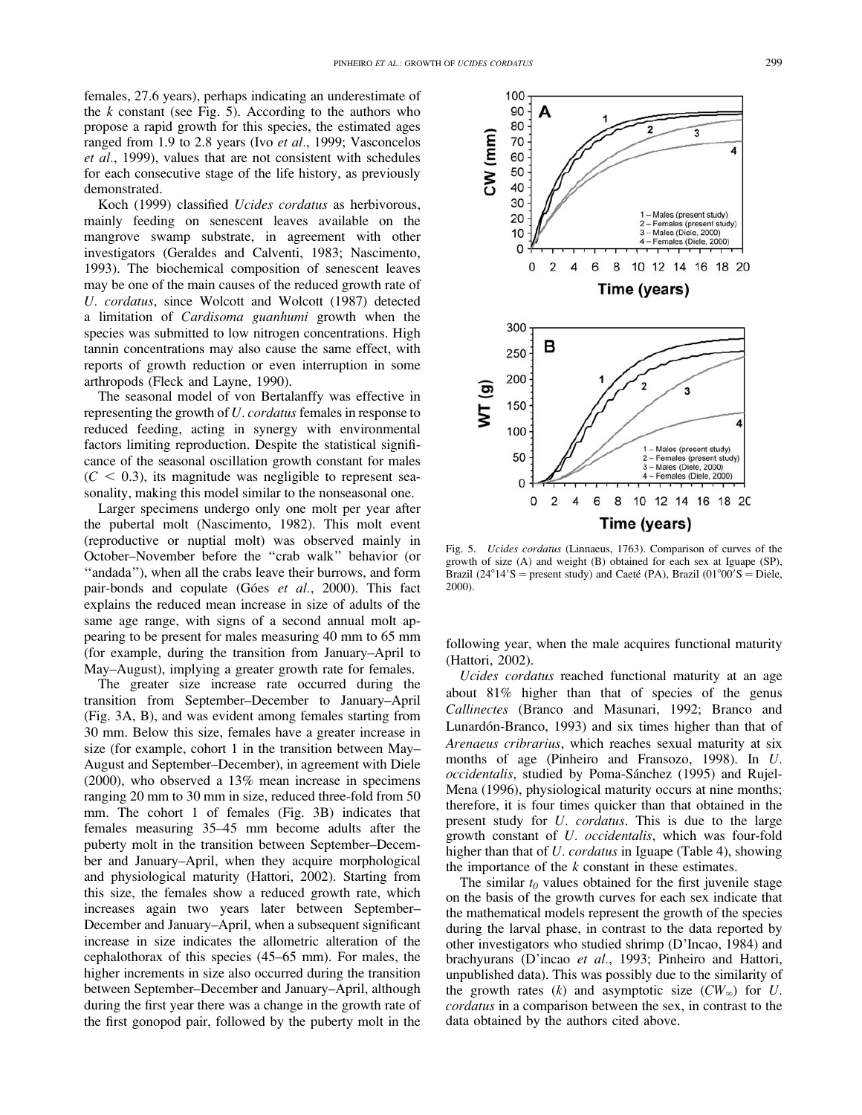females, 27.6 years), perhaps indicating an underestimate of the  $k$  constant (see Fig. 5). According to the authors who propose a rapid growth for this species, the estimated ages ranged from 1.9 to 2.8 years (Ivo et al., 1999; Vasconcelos et al., 1999), values that are not consistent with schedules for each consecutive stage of the life history, as previously demonstrated.

Koch (1999) classified Ucides cordatus as herbivorous, mainly feeding on senescent leaves available on the mangrove swamp substrate, in agreement with other investigators (Geraldes and Calventi, 1983; Nascimento, 1993). The biochemical composition of senescent leaves may be one of the main causes of the reduced growth rate of U. cordatus, since Wolcott and Wolcott (1987) detected a limitation of Cardisoma guanhumi growth when the species was submitted to low nitrogen concentrations. High tannin concentrations may also cause the same effect, with reports of growth reduction or even interruption in some arthropods (Fleck and Layne, 1990).

The seasonal model of von Bertalanffy was effective in representing the growth of U. cordatus females in response to reduced feeding, acting in synergy with environmental factors limiting reproduction. Despite the statistical significance of the seasonal oscillation growth constant for males  $(C < 0.3)$ , its magnitude was negligible to represent seasonality, making this model similar to the nonseasonal one.

Larger specimens undergo only one molt per year after the pubertal molt (Nascimento, 1982). This molt event (reproductive or nuptial molt) was observed mainly in October–November before the ''crab walk'' behavior (or ''andada''), when all the crabs leave their burrows, and form pair-bonds and copulate (Góes et al., 2000). This fact explains the reduced mean increase in size of adults of the same age range, with signs of a second annual molt appearing to be present for males measuring 40 mm to 65 mm (for example, during the transition from January–April to May–August), implying a greater growth rate for females.

The greater size increase rate occurred during the transition from September–December to January–April (Fig. 3A, B), and was evident among females starting from 30 mm. Below this size, females have a greater increase in size (for example, cohort 1 in the transition between May– August and September–December), in agreement with Diele (2000), who observed a 13% mean increase in specimens ranging 20 mm to 30 mm in size, reduced three-fold from 50 mm. The cohort 1 of females (Fig. 3B) indicates that females measuring 35–45 mm become adults after the puberty molt in the transition between September–December and January–April, when they acquire morphological and physiological maturity (Hattori, 2002). Starting from this size, the females show a reduced growth rate, which increases again two years later between September– December and January–April, when a subsequent significant increase in size indicates the allometric alteration of the cephalothorax of this species (45–65 mm). For males, the higher increments in size also occurred during the transition between September–December and January–April, although during the first year there was a change in the growth rate of the first gonopod pair, followed by the puberty molt in the



Fig. 5. Ucides cordatus (Linnaeus, 1763). Comparison of curves of the growth of size (A) and weight (B) obtained for each sex at Iguape (SP), Brazil (24°14′S = present study) and Caeté (PA), Brazil (01°00′S = Diele, 2000).

following year, when the male acquires functional maturity (Hattori, 2002).

Ucides cordatus reached functional maturity at an age about 81% higher than that of species of the genus Callinectes (Branco and Masunari, 1992; Branco and Lunardón-Branco, 1993) and six times higher than that of Arenaeus cribrarius, which reaches sexual maturity at six months of age (Pinheiro and Fransozo, 1998). In U. occidentalis, studied by Poma-Sánchez (1995) and Rujel-Mena (1996), physiological maturity occurs at nine months; therefore, it is four times quicker than that obtained in the present study for U. cordatus. This is due to the large growth constant of U. occidentalis, which was four-fold higher than that of *U. cordatus* in Iguape (Table 4), showing the importance of the  $k$  constant in these estimates.

The similar  $t_0$  values obtained for the first juvenile stage on the basis of the growth curves for each sex indicate that the mathematical models represent the growth of the species during the larval phase, in contrast to the data reported by other investigators who studied shrimp (D'Incao, 1984) and brachyurans (D'incao et al., 1993; Pinheiro and Hattori, unpublished data). This was possibly due to the similarity of the growth rates  $(k)$  and asymptotic size  $(CW_{\infty})$  for U. cordatus in a comparison between the sex, in contrast to the data obtained by the authors cited above.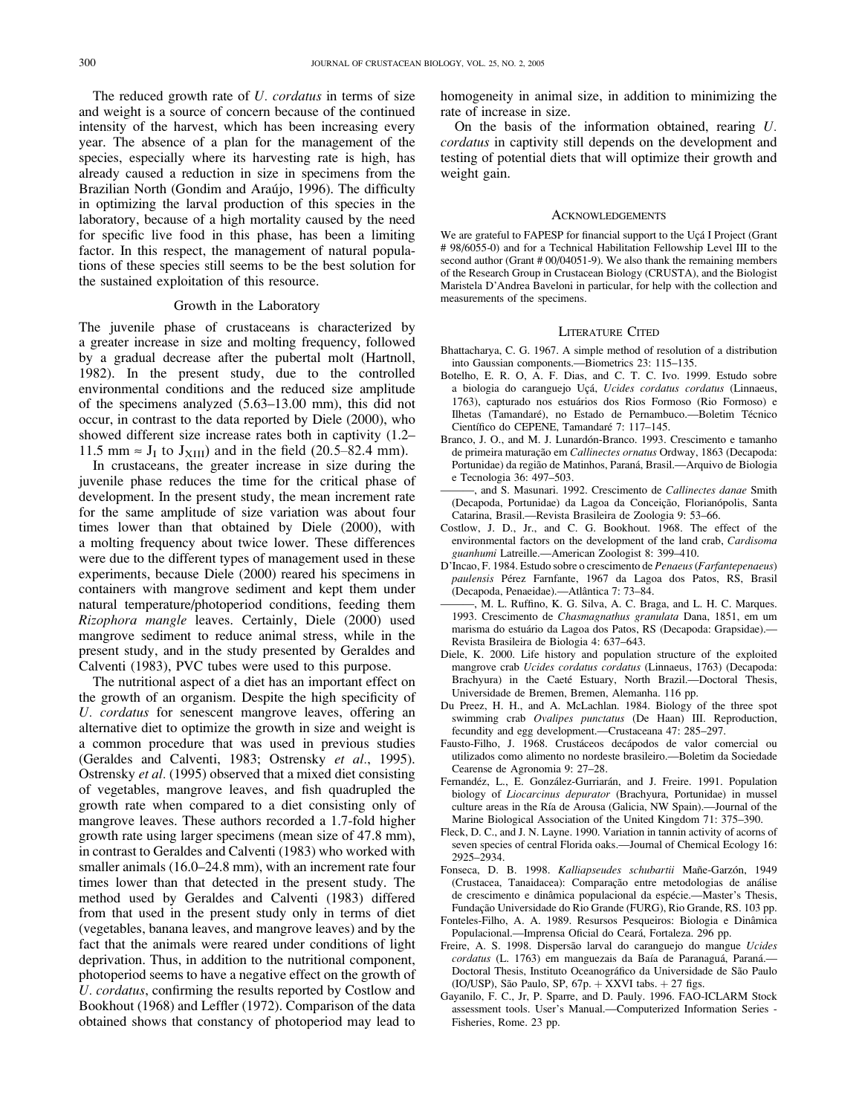The reduced growth rate of U. cordatus in terms of size and weight is a source of concern because of the continued intensity of the harvest, which has been increasing every year. The absence of a plan for the management of the species, especially where its harvesting rate is high, has already caused a reduction in size in specimens from the Brazilian North (Gondim and Araújo, 1996). The difficulty in optimizing the larval production of this species in the laboratory, because of a high mortality caused by the need for specific live food in this phase, has been a limiting factor. In this respect, the management of natural populations of these species still seems to be the best solution for the sustained exploitation of this resource.

#### Growth in the Laboratory

The juvenile phase of crustaceans is characterized by a greater increase in size and molting frequency, followed by a gradual decrease after the pubertal molt (Hartnoll, 1982). In the present study, due to the controlled environmental conditions and the reduced size amplitude of the specimens analyzed (5.63–13.00 mm), this did not occur, in contrast to the data reported by Diele (2000), who showed different size increase rates both in captivity (1.2– 11.5 mm  $\approx$  J<sub>I</sub> to J<sub>XIII</sub>) and in the field (20.5–82.4 mm).

In crustaceans, the greater increase in size during the juvenile phase reduces the time for the critical phase of development. In the present study, the mean increment rate for the same amplitude of size variation was about four times lower than that obtained by Diele (2000), with a molting frequency about twice lower. These differences were due to the different types of management used in these experiments, because Diele (2000) reared his specimens in containers with mangrove sediment and kept them under natural temperature/photoperiod conditions, feeding them Rizophora mangle leaves. Certainly, Diele (2000) used mangrove sediment to reduce animal stress, while in the present study, and in the study presented by Geraldes and Calventi (1983), PVC tubes were used to this purpose.

The nutritional aspect of a diet has an important effect on the growth of an organism. Despite the high specificity of U. cordatus for senescent mangrove leaves, offering an alternative diet to optimize the growth in size and weight is a common procedure that was used in previous studies (Geraldes and Calventi, 1983; Ostrensky et al., 1995). Ostrensky et al. (1995) observed that a mixed diet consisting of vegetables, mangrove leaves, and fish quadrupled the growth rate when compared to a diet consisting only of mangrove leaves. These authors recorded a 1.7-fold higher growth rate using larger specimens (mean size of 47.8 mm), in contrast to Geraldes and Calventi (1983) who worked with smaller animals (16.0–24.8 mm), with an increment rate four times lower than that detected in the present study. The method used by Geraldes and Calventi (1983) differed from that used in the present study only in terms of diet (vegetables, banana leaves, and mangrove leaves) and by the fact that the animals were reared under conditions of light deprivation. Thus, in addition to the nutritional component, photoperiod seems to have a negative effect on the growth of U. cordatus, confirming the results reported by Costlow and Bookhout (1968) and Leffler (1972). Comparison of the data obtained shows that constancy of photoperiod may lead to

homogeneity in animal size, in addition to minimizing the rate of increase in size.

On the basis of the information obtained, rearing U. cordatus in captivity still depends on the development and testing of potential diets that will optimize their growth and weight gain.

#### **ACKNOWLEDGEMENTS**

We are grateful to FAPESP for financial support to the Uçá I Project (Grant # 98/6055-0) and for a Technical Habilitation Fellowship Level III to the second author (Grant # 00/04051-9). We also thank the remaining members of the Research Group in Crustacean Biology (CRUSTA), and the Biologist Maristela D'Andrea Baveloni in particular, for help with the collection and measurements of the specimens.

#### LITERATURE CITED

- Bhattacharya, C. G. 1967. A simple method of resolution of a distribution into Gaussian components.—Biometrics 23: 115–135.
- Botelho, E. R. O, A. F. Dias, and C. T. C. Ivo. 1999. Estudo sobre a biologia do caranguejo Uçá, Ucides cordatus cordatus (Linnaeus, 1763), capturado nos estua´rios dos Rios Formoso (Rio Formoso) e Ilhetas (Tamandaré), no Estado de Pernambuco.—Boletim Técnico Científico do CEPENE, Tamandaré 7: 117-145.
- Branco, J. O., and M. J. Lunardón-Branco. 1993. Crescimento e tamanho de primeira maturação em Callinectes ornatus Ordway, 1863 (Decapoda: Portunidae) da região de Matinhos, Paraná, Brasil.-Arquivo de Biologia e Tecnologia 36: 497–503.
- -, and S. Masunari. 1992. Crescimento de Callinectes danae Smith (Decapoda, Portunidae) da Lagoa da Conceição, Florianópolis, Santa Catarina, Brasil.—Revista Brasileira de Zoologia 9: 53–66.
- Costlow, J. D., Jr., and C. G. Bookhout. 1968. The effect of the environmental factors on the development of the land crab, Cardisoma guanhumi Latreille.—American Zoologist 8: 399–410.
- D'Incao, F. 1984. Estudo sobre o crescimento de Penaeus(Farfantepenaeus) paulensis Pérez Farnfante, 1967 da Lagoa dos Patos, RS, Brasil (Decapoda, Penaeidae).—Atlântica 7: 73-84.
- M. L. Ruffino, K. G. Silva, A. C. Braga, and L. H. C. Marques. 1993. Crescimento de Chasmagnathus granulata Dana, 1851, em um marisma do estuário da Lagoa dos Patos, RS (Decapoda: Grapsidae). Revista Brasileira de Biologia 4: 637–643.
- Diele, K. 2000. Life history and population structure of the exploited mangrove crab Ucides cordatus cordatus (Linnaeus, 1763) (Decapoda: Brachyura) in the Caeté Estuary, North Brazil.---Doctoral Thesis, Universidade de Bremen, Bremen, Alemanha. 116 pp.
- Du Preez, H. H., and A. McLachlan. 1984. Biology of the three spot swimming crab Ovalipes punctatus (De Haan) III. Reproduction, fecundity and egg development.—Crustaceana 47: 285–297.
- Fausto-Filho, J. 1968. Crustáceos decápodos de valor comercial ou utilizados como alimento no nordeste brasileiro.—Boletim da Sociedade Cearense de Agronomia 9: 27–28.
- Fernandéz, L., E. González-Gurriarán, and J. Freire. 1991. Population biology of Liocarcinus depurator (Brachyura, Portunidae) in mussel culture areas in the Ría de Arousa (Galicia, NW Spain).—Journal of the Marine Biological Association of the United Kingdom 71: 375–390.
- Fleck, D. C., and J. N. Layne. 1990. Variation in tannin activity of acorns of seven species of central Florida oaks.—Journal of Chemical Ecology 16: 2925–2934.
- Fonseca, D. B. 1998. Kalliapseudes schubartii Mañe-Garzón, 1949 (Crustacea, Tanaidacea): Comparação entre metodologias de análise de crescimento e dinâmica populacional da espécie.—Master's Thesis, Fundação Universidade do Rio Grande (FURG), Rio Grande, RS. 103 pp.
- Fonteles-Filho, A. A. 1989. Resursos Pesqueiros: Biologia e Dinâmica Populacional.—Imprensa Oficial do Ceará, Fortaleza. 296 pp.
- Freire, A. S. 1998. Dispersão larval do caranguejo do mangue Ucides cordatus (L. 1763) em manguezais da Baía de Paranaguá, Paraná. Doctoral Thesis, Instituto Oceanográfico da Universidade de São Paulo (IO/USP), São Paulo, SP,  $67p. + XXVI$  tabs.  $+27$  figs.
- Gayanilo, F. C., Jr, P. Sparre, and D. Pauly. 1996. FAO-ICLARM Stock assessment tools. User's Manual.—Computerized Information Series - Fisheries, Rome. 23 pp.